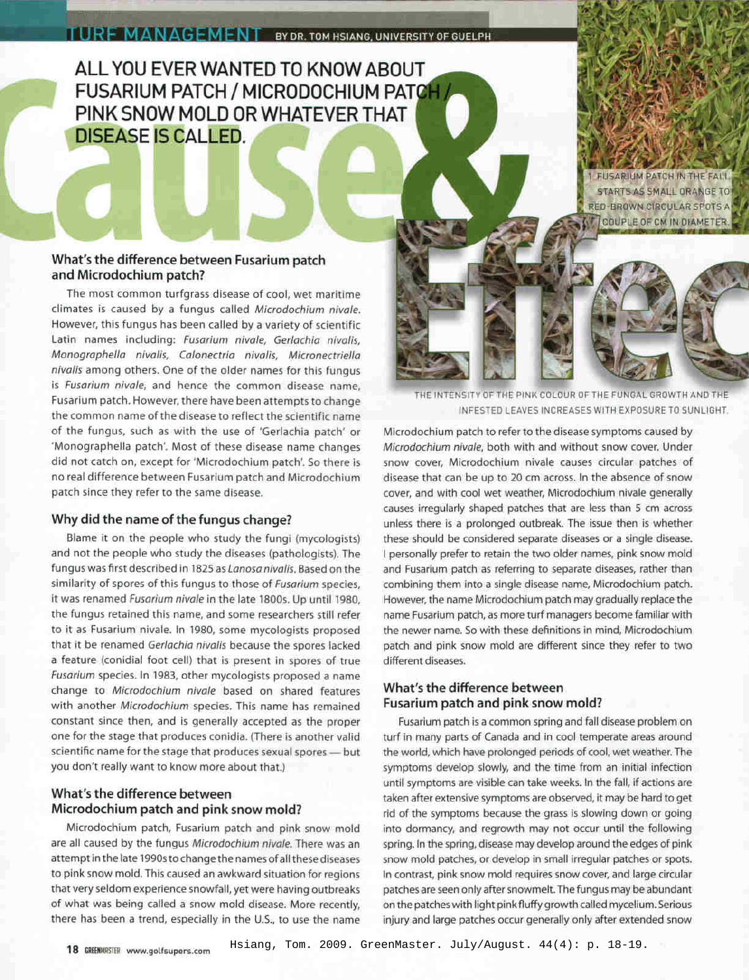# **ALL YOU EVER WANTED TO KNOW ABOUT FUSARIUM PATCH / MICRODOCHIUM PAT PINK SNOW MOLD OR WHATEVER THAT DISEASE IS CALLED.**

**FUSARIUM PATCH IN THE FALL** STARTS AS SMALL ORANGE TO **RED-BROWN CIRCULAR SPOTS A COUPLE OF CM IN DIAMETER** 

# **What's the difference between Fusarium patch and Microdochium patch?**

The most common turfgrass disease of cool, wet maritime climates is caused by a fungus called *Microdochium nivale.* However, this fungus has been called by a variety of scientific Latin names including: *Fusarium nivale, Gerlachia nivalis, Monographella nivalis, Calonectria nivalis, Micronectriella nivalis* among others. One of the older names for this fungus is *Fusarium nivale,* and hence the common disease name, Fusarium patch. However, there have been attempts to change the common name of the disease to reflect the scientific name of the fungus, such as with the use of 'Gerlachia patch' or 'Monographella patch'. Most of these disease name changes did not catch on, except for 'Microdochium patch'. So there is no real difference between Fusarium patch and Microdochium patch since they refer to the same disease.

## **Why did the name of the fungus change?**

Blame it on the people who study the fungi (mycologists) and not the people who study the diseases (pathologists). The fungus was first described in 1825 as *Lanosa nivalis.* Based on the similarity of spores of this fungus to those of *Fusarium* species, it was renamed *Fusarium nivale* in the late 1800s. Up until 1980, the fungus retained this name, and some researchers still refer to it as Fusarium nivale. In 1980, some mycologists proposed that it be renamed *Gerlachia nivalis* because the spores lacked a feature (conidial foot cell) that is present in spores of true *Fusarium* species. In 1983, other mycologists proposed a name change to *Microdochium nivale* based on shared features with another *Microdochium* species. This name has remained constant since then, and is generally accepted as the proper one for the stage that produces conidia. (There is another valid scientific name for the stage that produces sexual spores - but you don't really want to know more about that.)

# **What's the difference between Microdochium patch and pink snow mold?**

Microdochium patch, Fusarium patch and pink snow mold are all caused by the fungus *Microdochium nivale.* There was an attempt in the late 1990sto change the names of all these diseases to pink snow mold. This caused an awkward situation for regions that very seldom experience snowfall, yet were having outbreaks of what was being called a snow mold disease. More recently, there has been a trend, especially in the U.S., to use the name THE INTENSITY OF THE PINK COLOUR OF THE FUNGAL GROWTH AND THE INFESTED LEAVES INCREASES WITH EXPOSURE TO SUNLIGHT.

Microdochium patch to refer to the disease symptoms caused by *Microdochium nivale,* both with and without snow cover. Under snow cover, Microdochium nivale causes circular patches of disease that can be up to 20 cm across. In the absence of snow cover, and with cool wet weather, Microdochium nivale generally causes irregularly shaped patches that are less than 5 cm across unless there is a prolonged outbreak. The issue then is whether these should be considered separate diseases or a single disease. I personally prefer to retain the two older names, pink snow mold and Fusarium patch as referring to separate diseases, rather than combining them into a single disease name, Microdochium patch. However, the name Microdochium patch may gradually replace the name Fusarium patch, as more turf managers become familiar with the newer name. So with these definitions in mind, Microdochium patch and pink snow mold are different since they refer to two different diseases.

## **What's the difference between Fusarium patch and pink snow mold?**

Fusarium patch is a common spring and fall disease problem on turf in many parts of Canada and in cool temperate areas around the world, which have prolonged periods of cool, wet weather. The symptoms develop slowly, and the time from an initial infection until symptoms are visible can take weeks. In the fall, if actions are taken after extensive symptoms are observed, it may be hard to get rid of the symptoms because the grass is slowing down or going into dormancy, and regrowth may not occur until the following spring. In the spring, disease may develop around the edges of pink snow mold patches, or develop in small irregular patches or spots. In contrast, pink snow mold requires snow cover, and large circular patches are seen only after snowmelt. The fungus may be abundant on the patcheswith light pink fluffy growth called mycelium. Serious injury and large patches occur generally only after extended snow